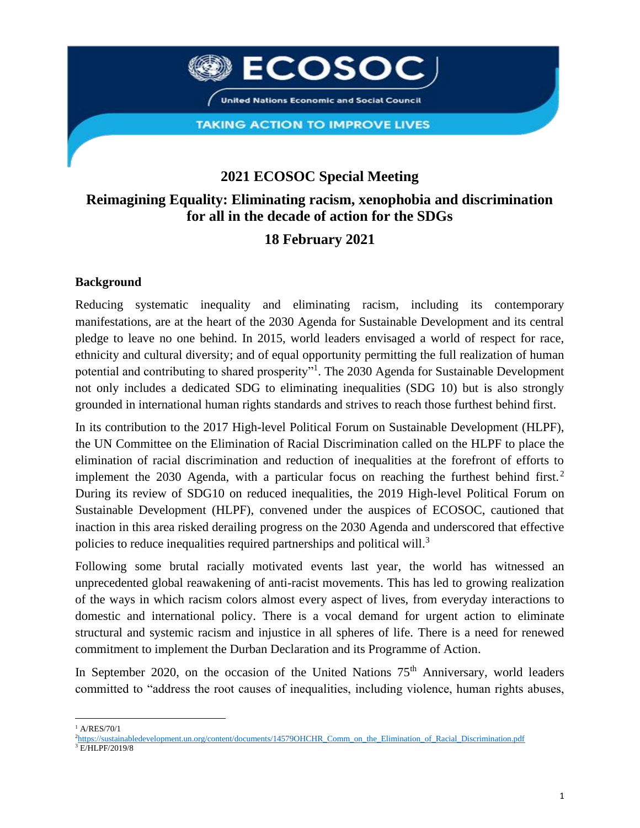

**TAKING ACTION TO IMPROVE LIVES** 

# **2021 ECOSOC Special Meeting**

### **Reimagining Equality: Eliminating racism, xenophobia and discrimination for all in the decade of action for the SDGs**

## **18 February 2021**

#### **Background**

Reducing systematic inequality and eliminating racism, including its contemporary manifestations, are at the heart of the 2030 Agenda for Sustainable Development and its central pledge to leave no one behind. In 2015, world leaders envisaged a world of respect for race, ethnicity and cultural diversity; and of equal opportunity permitting the full realization of human potential and contributing to shared prosperity"<sup>1</sup>. The 2030 Agenda for Sustainable Development not only includes a dedicated SDG to eliminating inequalities (SDG 10) but is also strongly grounded in international human rights standards and strives to reach those furthest behind first.

In its contribution to the 2017 High-level Political Forum on Sustainable Development (HLPF), the UN Committee on the Elimination of Racial Discrimination called on the HLPF to place the elimination of racial discrimination and reduction of inequalities at the forefront of efforts to implement the 2030 Agenda, with a particular focus on reaching the furthest behind first.<sup>2</sup> During its review of SDG10 on reduced inequalities, the 2019 High-level Political Forum on Sustainable Development (HLPF), convened under the auspices of ECOSOC, cautioned that inaction in this area risked derailing progress on the 2030 Agenda and underscored that effective policies to reduce inequalities required partnerships and political will.<sup>3</sup>

Following some brutal racially motivated events last year, the world has witnessed an unprecedented global reawakening of anti-racist movements. This has led to growing realization of the ways in which racism colors almost every aspect of lives, from everyday interactions to domestic and international policy. There is a vocal demand for urgent action to eliminate structural and systemic racism and injustice in all spheres of life. There is a need for renewed commitment to implement the Durban Declaration and its Programme of Action.

In September 2020, on the occasion of the United Nations  $75<sup>th</sup>$  Anniversary, world leaders committed to "address the root causes of inequalities, including violence, human rights abuses,

 $1$  A/RES/70/1

<sup>&</sup>lt;sup>2</sup>[https://sustainabledevelopment.un.org/content/documents/14579OHCHR\\_Comm\\_on\\_the\\_Elimination\\_of\\_Racial\\_Discrimination.pdf](https://sustainabledevelopment.un.org/content/documents/14579OHCHR_Comm_on_the_Elimination_of_Racial_Discrimination.pdf)

<sup>3</sup> E/HLPF/2019/8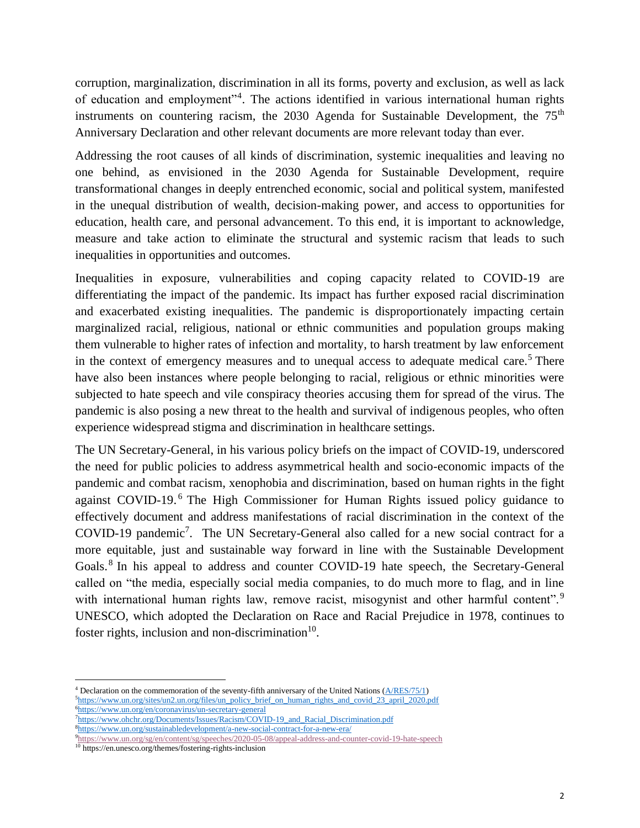corruption, marginalization, discrimination in all its forms, poverty and exclusion, as well as lack of education and employment"<sup>4</sup>. The actions identified in various international human rights instruments on countering racism, the  $2030$  Agenda for Sustainable Development, the  $75<sup>th</sup>$ Anniversary Declaration and other relevant documents are more relevant today than ever.

Addressing the root causes of all kinds of discrimination, systemic inequalities and leaving no one behind, as envisioned in the 2030 Agenda for Sustainable Development, require transformational changes in deeply entrenched economic, social and political system, manifested in the unequal distribution of wealth, decision-making power, and access to opportunities for education, health care, and personal advancement. To this end, it is important to acknowledge, measure and take action to eliminate the structural and systemic racism that leads to such inequalities in opportunities and outcomes.

Inequalities in exposure, vulnerabilities and coping capacity related to COVID-19 are differentiating the impact of the pandemic. Its impact has further exposed racial discrimination and exacerbated existing inequalities. The pandemic is disproportionately impacting certain marginalized racial, religious, national or ethnic communities and population groups making them vulnerable to higher rates of infection and mortality, to harsh treatment by law enforcement in the context of emergency measures and to unequal access to adequate medical care.<sup>5</sup> There have also been instances where people belonging to racial, religious or ethnic minorities were subjected to hate speech and vile conspiracy theories accusing them for spread of the virus. The pandemic is also posing a new threat to the health and survival of indigenous peoples, who often experience widespread stigma and discrimination in healthcare settings.

The UN Secretary-General, in his various policy briefs on the impact of COVID-19, underscored the need for public policies to address asymmetrical health and socio-economic impacts of the pandemic and combat racism, xenophobia and discrimination, based on human rights in the fight against COVID-19.<sup>6</sup> The High Commissioner for Human Rights issued policy guidance to effectively document and address manifestations of racial discrimination in the context of the COVID-19 pandemic<sup>7</sup>. The UN Secretary-General also called for a new social contract for a more equitable, just and sustainable way forward in line with the Sustainable Development Goals.<sup>8</sup> In his appeal to address and counter COVID-19 hate speech, the Secretary-General called on "the media, especially social media companies, to do much more to flag, and in line with international human rights law, remove racist, misogynist and other harmful content".<sup>9</sup> UNESCO, which adopted the Declaration on Race and Racial Prejudice in 1978, continues to foster rights, inclusion and non-discrimination $10$ .

<sup>4</sup> Declaration on the commemoration of the seventy-fifth anniversary of the United Nations [\(A/RES/75/1\)](http://undocs.org/A/RES/75/1) 5[https://www.un.org/sites/un2.un.org/files/un\\_policy\\_brief\\_on\\_human\\_rights\\_and\\_covid\\_23\\_april\\_2020.pdf](https://www.un.org/sites/un2.un.org/files/un_policy_brief_on_human_rights_and_covid_23_april_2020.pdf) <sup>6</sup><https://www.un.org/en/coronavirus/un-secretary-general>

<sup>7</sup>[https://www.ohchr.org/Documents/Issues/Racism/COVID-19\\_and\\_Racial\\_Discrimination.pdf](https://www.ohchr.org/Documents/Issues/Racism/COVID-19_and_Racial_Discrimination.pdf) <sup>8</sup><https://www.un.org/sustainabledevelopment/a-new-social-contract-for-a-new-era/>

<sup>9</sup><https://www.un.org/sg/en/content/sg/speeches/2020-05-08/appeal-address-and-counter-covid-19-hate-speech>

<sup>10</sup> https://en.unesco.org/themes/fostering-rights-inclusion